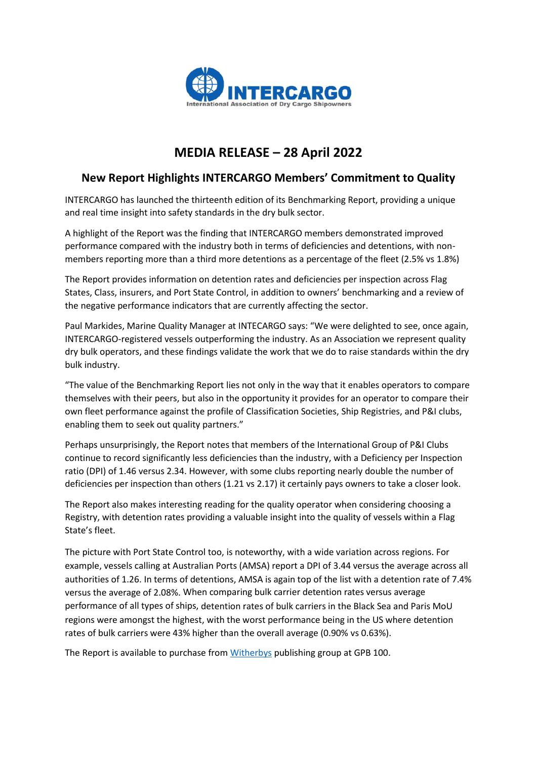

## **MEDIA RELEASE – 28 April 2022**

## **New Report Highlights INTERCARGO Members' Commitment to Quality**

INTERCARGO has launched the thirteenth edition of its Benchmarking Report, providing a unique and real time insight into safety standards in the dry bulk sector.

A highlight of the Report was the finding that INTERCARGO members demonstrated improved performance compared with the industry both in terms of deficiencies and detentions, with nonmembers reporting more than a third more detentions as a percentage of the fleet (2.5% vs 1.8%)

The Report provides information on detention rates and deficiencies per inspection across Flag States, Class, insurers, and Port State Control, in addition to owners' benchmarking and a review of the negative performance indicators that are currently affecting the sector.

Paul Markides, Marine Quality Manager at INTECARGO says: "We were delighted to see, once again, INTERCARGO-registered vessels outperforming the industry. As an Association we represent quality dry bulk operators, and these findings validate the work that we do to raise standards within the dry bulk industry.

"The value of the Benchmarking Report lies not only in the way that it enables operators to compare themselves with their peers, but also in the opportunity it provides for an operator to compare their own fleet performance against the profile of Classification Societies, Ship Registries, and P&I clubs, enabling them to seek out quality partners."

Perhaps unsurprisingly, the Report notes that members of the International Group of P&I Clubs continue to record significantly less deficiencies than the industry, with a Deficiency per Inspection ratio (DPI) of 1.46 versus 2.34. However, with some clubs reporting nearly double the number of deficiencies per inspection than others (1.21 vs 2.17) it certainly pays owners to take a closer look.

The Report also makes interesting reading for the quality operator when considering choosing a Registry, with detention rates providing a valuable insight into the quality of vessels within a Flag State's fleet.

The picture with Port State Control too, is noteworthy, with a wide variation across regions. For example, vessels calling at Australian Ports (AMSA) report a DPI of 3.44 versus the average across all authorities of 1.26. In terms of detentions, AMSA is again top of the list with a detention rate of 7.4% versus the average of 2.08%. When comparing bulk carrier detention rates versus average performance of all types of ships, detention rates of bulk carriers in the Black Sea and Paris MoU regions were amongst the highest, with the worst performance being in the US where detention rates of bulk carriers were 43% higher than the overall average (0.90% vs 0.63%).

The Report is available to purchase from [Witherbys](https://shop.witherbys.com/benchmarking-bulk-carriers-2020-2021-thirteenth-edition/) publishing group at GPB 100.